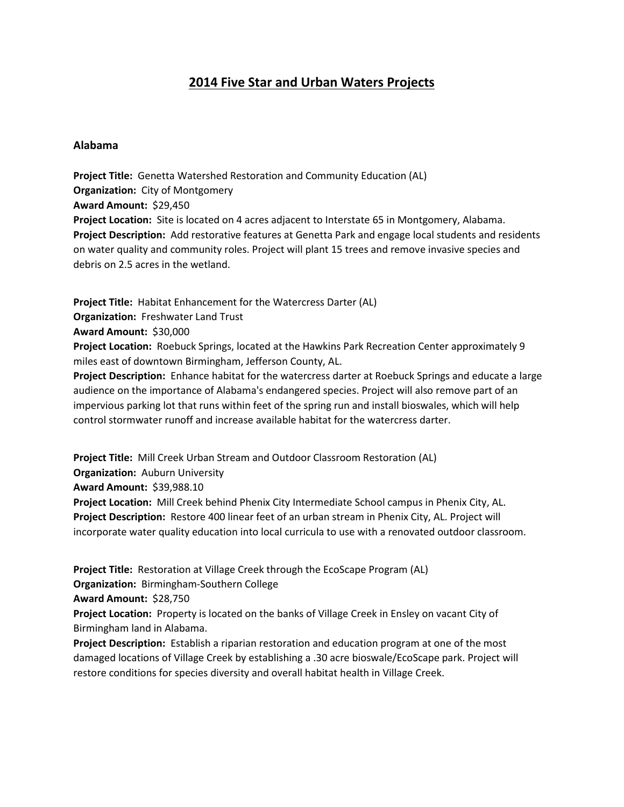# **2014 Five Star and Urban Waters Projects**

#### **Alabama**

**Project Title:** Genetta Watershed Restoration and Community Education (AL) **Organization:** City of Montgomery **Award Amount:** \$29,450 **Project Location:** Site is located on 4 acres adjacent to Interstate 65 in Montgomery, Alabama. **Project Description:** Add restorative features at Genetta Park and engage local students and residents on water quality and community roles. Project will plant 15 trees and remove invasive species and debris on 2.5 acres in the wetland.

**Project Title:** Habitat Enhancement for the Watercress Darter (AL) **Organization:** Freshwater Land Trust

**Award Amount:** \$30,000

**Project Location:** Roebuck Springs, located at the Hawkins Park Recreation Center approximately 9 miles east of downtown Birmingham, Jefferson County, AL.

**Project Description:** Enhance habitat for the watercress darter at Roebuck Springs and educate a large audience on the importance of Alabama's endangered species. Project will also remove part of an impervious parking lot that runs within feet of the spring run and install bioswales, which will help control stormwater runoff and increase available habitat for the watercress darter.

**Project Title:** Mill Creek Urban Stream and Outdoor Classroom Restoration (AL) **Organization:** Auburn University **Award Amount:** \$39,988.10 **Project Location:** Mill Creek behind Phenix City Intermediate School campus in Phenix City, AL. **Project Description:** Restore 400 linear feet of an urban stream in Phenix City, AL. Project will incorporate water quality education into local curricula to use with a renovated outdoor classroom.

**Project Title:** Restoration at Village Creek through the EcoScape Program (AL) **Organization:** Birmingham-Southern College **Award Amount:** \$28,750 **Project Location:** Property is located on the banks of Village Creek in Ensley on vacant City of

Birmingham land in Alabama.

**Project Description:** Establish a riparian restoration and education program at one of the most damaged locations of Village Creek by establishing a .30 acre bioswale/EcoScape park. Project will restore conditions for species diversity and overall habitat health in Village Creek.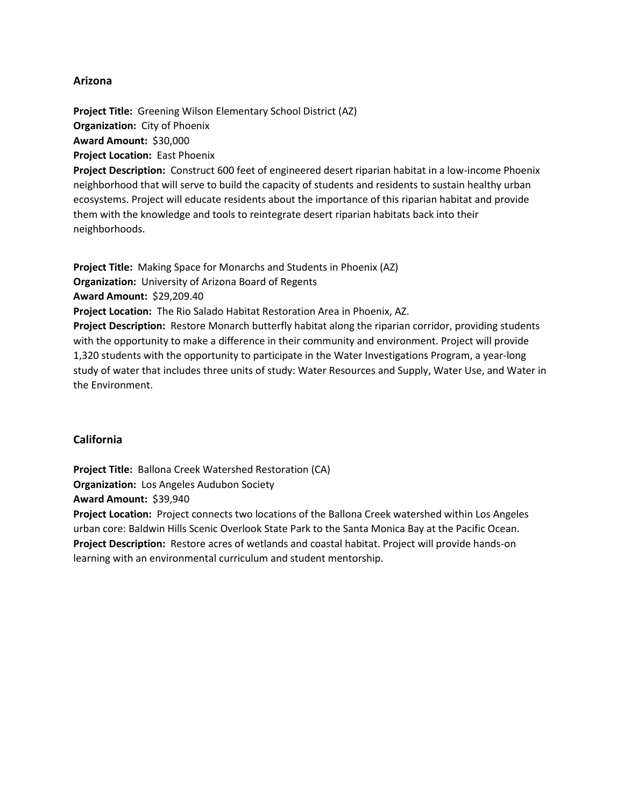### **Arizona**

**Project Title:** Greening Wilson Elementary School District (AZ) **Organization:** City of Phoenix **Award Amount:** \$30,000 **Project Location:** East Phoenix

**Project Description:** Construct 600 feet of engineered desert riparian habitat in a low-income Phoenix neighborhood that will serve to build the capacity of students and residents to sustain healthy urban ecosystems. Project will educate residents about the importance of this riparian habitat and provide them with the knowledge and tools to reintegrate desert riparian habitats back into their neighborhoods.

**Project Title:** Making Space for Monarchs and Students in Phoenix (AZ)

**Organization:** University of Arizona Board of Regents

**Award Amount:** \$29,209.40

**Project Location:** The Rio Salado Habitat Restoration Area in Phoenix, AZ.

**Project Description:** Restore Monarch butterfly habitat along the riparian corridor, providing students with the opportunity to make a difference in their community and environment. Project will provide 1,320 students with the opportunity to participate in the Water Investigations Program, a year-long study of water that includes three units of study: Water Resources and Supply, Water Use, and Water in the Environment.

# **California**

**Project Title:** Ballona Creek Watershed Restoration (CA) **Organization:** Los Angeles Audubon Society **Award Amount:** \$39,940 **Project Location:** Project connects two locations of the Ballona Creek watershed within Los Angeles urban core: Baldwin Hills Scenic Overlook State Park to the Santa Monica Bay at the Pacific Ocean. **Project Description:** Restore acres of wetlands and coastal habitat. Project will provide hands-on learning with an environmental curriculum and student mentorship.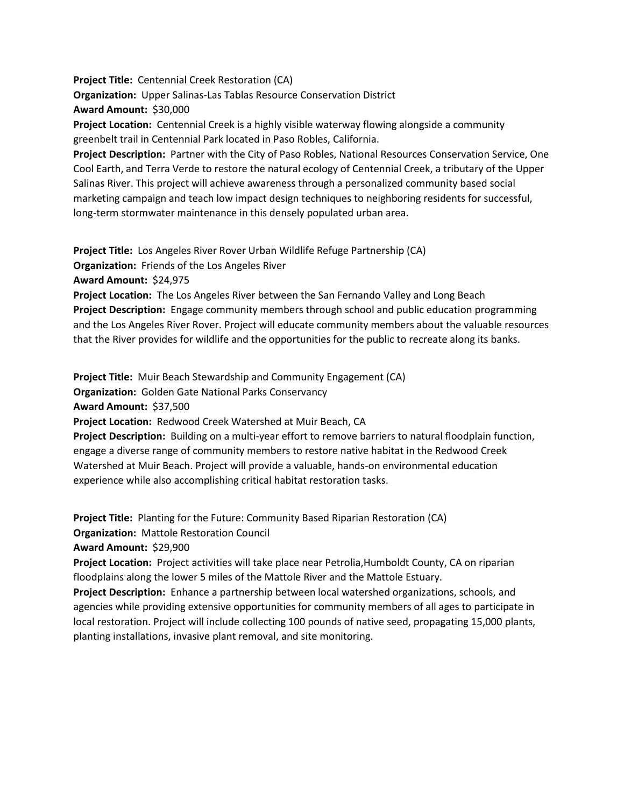**Project Title:** Centennial Creek Restoration (CA) **Organization:** Upper Salinas-Las Tablas Resource Conservation District **Award Amount:** \$30,000

**Project Location:** Centennial Creek is a highly visible waterway flowing alongside a community greenbelt trail in Centennial Park located in Paso Robles, California.

**Project Description:** Partner with the City of Paso Robles, National Resources Conservation Service, One Cool Earth, and Terra Verde to restore the natural ecology of Centennial Creek, a tributary of the Upper Salinas River. This project will achieve awareness through a personalized community based social marketing campaign and teach low impact design techniques to neighboring residents for successful, long-term stormwater maintenance in this densely populated urban area.

**Project Title:** Los Angeles River Rover Urban Wildlife Refuge Partnership (CA)

**Organization:** Friends of the Los Angeles River

**Award Amount:** \$24,975

**Project Location:** The Los Angeles River between the San Fernando Valley and Long Beach **Project Description:** Engage community members through school and public education programming and the Los Angeles River Rover. Project will educate community members about the valuable resources that the River provides for wildlife and the opportunities for the public to recreate along its banks.

**Project Title:** Muir Beach Stewardship and Community Engagement (CA)

**Organization:** Golden Gate National Parks Conservancy

**Award Amount:** \$37,500

**Project Location:** Redwood Creek Watershed at Muir Beach, CA

**Project Description:** Building on a multi-year effort to remove barriers to natural floodplain function, engage a diverse range of community members to restore native habitat in the Redwood Creek Watershed at Muir Beach. Project will provide a valuable, hands-on environmental education experience while also accomplishing critical habitat restoration tasks.

**Project Title:** Planting for the Future: Community Based Riparian Restoration (CA) **Organization:** Mattole Restoration Council

**Award Amount:** \$29,900

**Project Location:** Project activities will take place near Petrolia,Humboldt County, CA on riparian floodplains along the lower 5 miles of the Mattole River and the Mattole Estuary.

**Project Description:** Enhance a partnership between local watershed organizations, schools, and agencies while providing extensive opportunities for community members of all ages to participate in local restoration. Project will include collecting 100 pounds of native seed, propagating 15,000 plants, planting installations, invasive plant removal, and site monitoring.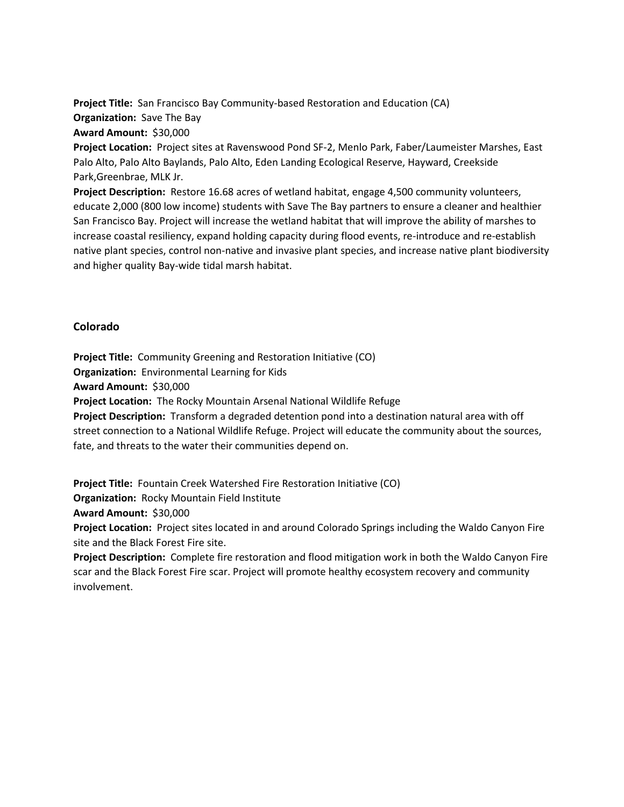**Project Title:** San Francisco Bay Community-based Restoration and Education (CA) **Organization:** Save The Bay **Award Amount:** \$30,000

**Project Location:** Project sites at Ravenswood Pond SF-2, Menlo Park, Faber/Laumeister Marshes, East Palo Alto, Palo Alto Baylands, Palo Alto, Eden Landing Ecological Reserve, Hayward, Creekside Park,Greenbrae, MLK Jr.

**Project Description:** Restore 16.68 acres of wetland habitat, engage 4,500 community volunteers, educate 2,000 (800 low income) students with Save The Bay partners to ensure a cleaner and healthier San Francisco Bay. Project will increase the wetland habitat that will improve the ability of marshes to increase coastal resiliency, expand holding capacity during flood events, re-introduce and re-establish native plant species, control non-native and invasive plant species, and increase native plant biodiversity and higher quality Bay-wide tidal marsh habitat.

# **Colorado**

**Project Title:** Community Greening and Restoration Initiative (CO)

**Organization:** Environmental Learning for Kids

**Award Amount:** \$30,000

**Project Location:** The Rocky Mountain Arsenal National Wildlife Refuge

**Project Description:** Transform a degraded detention pond into a destination natural area with off street connection to a National Wildlife Refuge. Project will educate the community about the sources, fate, and threats to the water their communities depend on.

**Project Title:** Fountain Creek Watershed Fire Restoration Initiative (CO)

**Organization:** Rocky Mountain Field Institute

**Award Amount:** \$30,000

**Project Location:** Project sites located in and around Colorado Springs including the Waldo Canyon Fire site and the Black Forest Fire site.

**Project Description:** Complete fire restoration and flood mitigation work in both the Waldo Canyon Fire scar and the Black Forest Fire scar. Project will promote healthy ecosystem recovery and community involvement.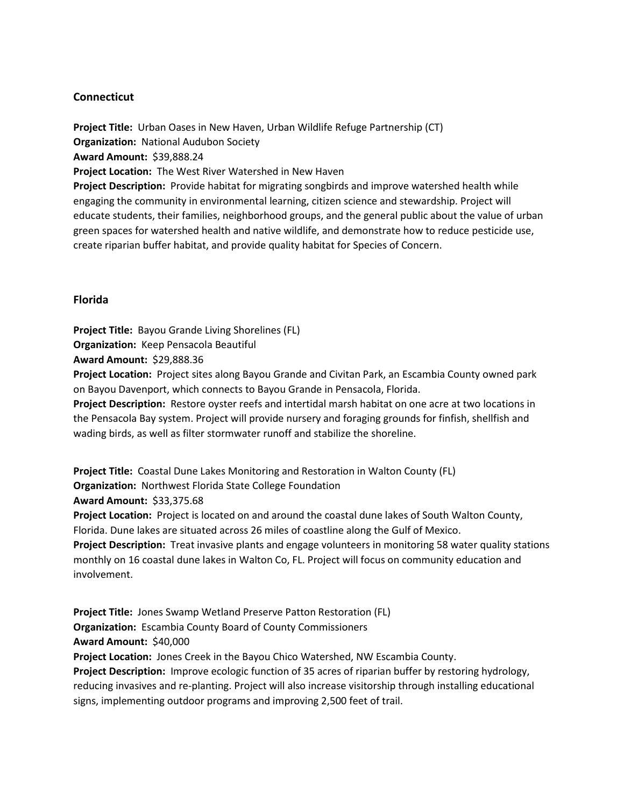## **Connecticut**

**Project Title:** Urban Oases in New Haven, Urban Wildlife Refuge Partnership (CT) **Organization:** National Audubon Society **Award Amount:** \$39,888.24 **Project Location:** The West River Watershed in New Haven **Project Description:** Provide habitat for migrating songbirds and improve watershed health while engaging the community in environmental learning, citizen science and stewardship. Project will educate students, their families, neighborhood groups, and the general public about the value of urban green spaces for watershed health and native wildlife, and demonstrate how to reduce pesticide use, create riparian buffer habitat, and provide quality habitat for Species of Concern.

#### **Florida**

**Project Title:** Bayou Grande Living Shorelines (FL) **Organization:** Keep Pensacola Beautiful

**Award Amount:** \$29,888.36

**Project Location:** Project sites along Bayou Grande and Civitan Park, an Escambia County owned park on Bayou Davenport, which connects to Bayou Grande in Pensacola, Florida.

**Project Description:** Restore oyster reefs and intertidal marsh habitat on one acre at two locations in the Pensacola Bay system. Project will provide nursery and foraging grounds for finfish, shellfish and wading birds, as well as filter stormwater runoff and stabilize the shoreline.

**Project Title:** Coastal Dune Lakes Monitoring and Restoration in Walton County (FL) **Organization:** Northwest Florida State College Foundation

**Award Amount:** \$33,375.68

**Project Location:** Project is located on and around the coastal dune lakes of South Walton County, Florida. Dune lakes are situated across 26 miles of coastline along the Gulf of Mexico.

**Project Description:** Treat invasive plants and engage volunteers in monitoring 58 water quality stations monthly on 16 coastal dune lakes in Walton Co, FL. Project will focus on community education and involvement.

**Project Title:** Jones Swamp Wetland Preserve Patton Restoration (FL) **Organization:** Escambia County Board of County Commissioners **Award Amount:** \$40,000 **Project Location:** Jones Creek in the Bayou Chico Watershed, NW Escambia County.

**Project Description:** Improve ecologic function of 35 acres of riparian buffer by restoring hydrology, reducing invasives and re-planting. Project will also increase visitorship through installing educational signs, implementing outdoor programs and improving 2,500 feet of trail.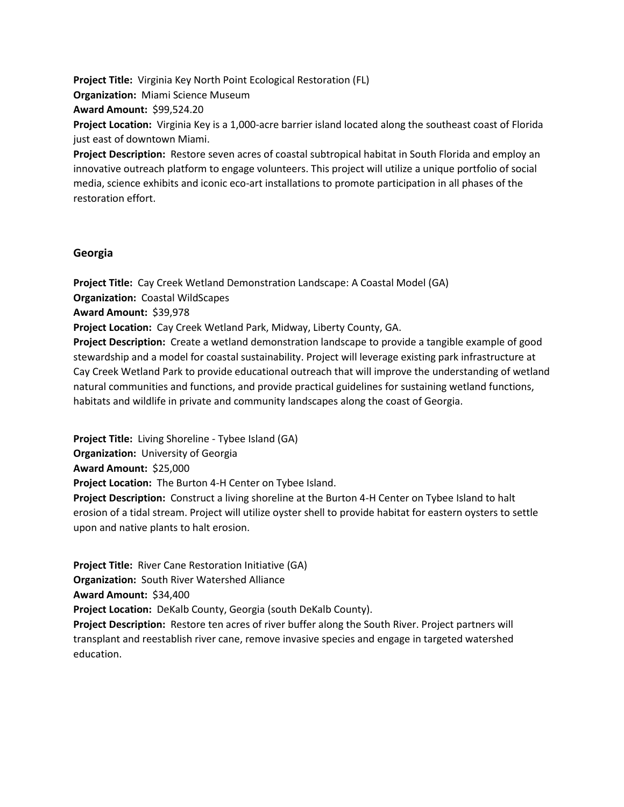**Project Title:** Virginia Key North Point Ecological Restoration (FL) **Organization:** Miami Science Museum **Award Amount:** \$99,524.20 **Project Location:** Virginia Key is a 1,000-acre barrier island located along the southeast coast of Florida just east of downtown Miami. **Project Description:** Restore seven acres of coastal subtropical habitat in South Florida and employ an

innovative outreach platform to engage volunteers. This project will utilize a unique portfolio of social media, science exhibits and iconic eco-art installations to promote participation in all phases of the restoration effort.

### **Georgia**

**Project Title:** Cay Creek Wetland Demonstration Landscape: A Coastal Model (GA) **Organization:** Coastal WildScapes **Award Amount:** \$39,978 **Project Location:** Cay Creek Wetland Park, Midway, Liberty County, GA. **Project Description:** Create a wetland demonstration landscape to provide a tangible example of good stewardship and a model for coastal sustainability. Project will leverage existing park infrastructure at Cay Creek Wetland Park to provide educational outreach that will improve the understanding of wetland natural communities and functions, and provide practical guidelines for sustaining wetland functions, habitats and wildlife in private and community landscapes along the coast of Georgia.

**Project Title:** Living Shoreline - Tybee Island (GA) **Organization:** University of Georgia **Award Amount:** \$25,000 **Project Location:** The Burton 4-H Center on Tybee Island. **Project Description:** Construct a living shoreline at the Burton 4-H Center on Tybee Island to halt erosion of a tidal stream. Project will utilize oyster shell to provide habitat for eastern oysters to settle upon and native plants to halt erosion.

**Project Title:** River Cane Restoration Initiative (GA) **Organization:** South River Watershed Alliance **Award Amount:** \$34,400 **Project Location:** DeKalb County, Georgia (south DeKalb County).

**Project Description:** Restore ten acres of river buffer along the South River. Project partners will transplant and reestablish river cane, remove invasive species and engage in targeted watershed education.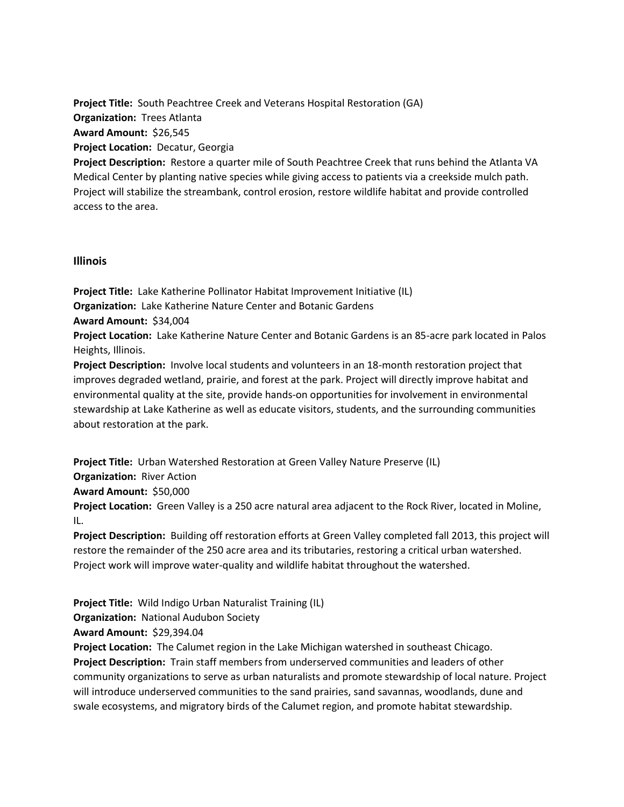**Project Title:** South Peachtree Creek and Veterans Hospital Restoration (GA) **Organization:** Trees Atlanta **Award Amount:** \$26,545 **Project Location:** Decatur, Georgia **Project Description:** Restore a quarter mile of South Peachtree Creek that runs behind the Atlanta VA Medical Center by planting native species while giving access to patients via a creekside mulch path. Project will stabilize the streambank, control erosion, restore wildlife habitat and provide controlled access to the area.

### **Illinois**

**Project Title:** Lake Katherine Pollinator Habitat Improvement Initiative (IL) **Organization:** Lake Katherine Nature Center and Botanic Gardens

**Award Amount:** \$34,004

**Project Location:** Lake Katherine Nature Center and Botanic Gardens is an 85-acre park located in Palos Heights, Illinois.

**Project Description:** Involve local students and volunteers in an 18-month restoration project that improves degraded wetland, prairie, and forest at the park. Project will directly improve habitat and environmental quality at the site, provide hands-on opportunities for involvement in environmental stewardship at Lake Katherine as well as educate visitors, students, and the surrounding communities about restoration at the park.

**Project Title:** Urban Watershed Restoration at Green Valley Nature Preserve (IL) **Organization:** River Action **Award Amount:** \$50,000 **Project Location:** Green Valley is a 250 acre natural area adjacent to the Rock River, located in Moline, IL.

**Project Description:** Building off restoration efforts at Green Valley completed fall 2013, this project will restore the remainder of the 250 acre area and its tributaries, restoring a critical urban watershed. Project work will improve water-quality and wildlife habitat throughout the watershed.

**Project Title:** Wild Indigo Urban Naturalist Training (IL) **Organization:** National Audubon Society

**Award Amount:** \$29,394.04

**Project Location:** The Calumet region in the Lake Michigan watershed in southeast Chicago. **Project Description:** Train staff members from underserved communities and leaders of other community organizations to serve as urban naturalists and promote stewardship of local nature. Project will introduce underserved communities to the sand prairies, sand savannas, woodlands, dune and swale ecosystems, and migratory birds of the Calumet region, and promote habitat stewardship.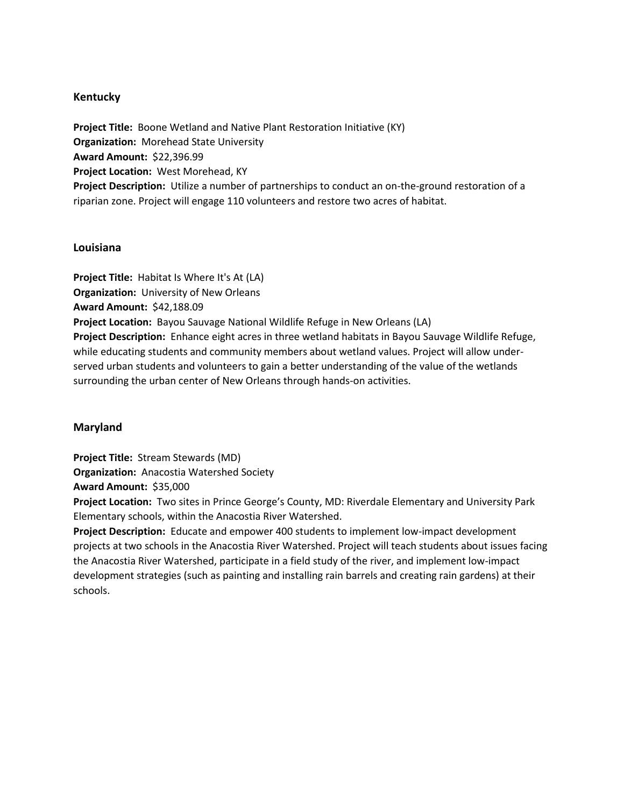### **Kentucky**

**Project Title:** Boone Wetland and Native Plant Restoration Initiative (KY) **Organization:** Morehead State University **Award Amount:** \$22,396.99 **Project Location:** West Morehead, KY **Project Description:** Utilize a number of partnerships to conduct an on-the-ground restoration of a riparian zone. Project will engage 110 volunteers and restore two acres of habitat.

### **Louisiana**

**Project Title:** Habitat Is Where It's At (LA) **Organization:** University of New Orleans **Award Amount:** \$42,188.09 **Project Location:** Bayou Sauvage National Wildlife Refuge in New Orleans (LA) **Project Description:** Enhance eight acres in three wetland habitats in Bayou Sauvage Wildlife Refuge, while educating students and community members about wetland values. Project will allow underserved urban students and volunteers to gain a better understanding of the value of the wetlands surrounding the urban center of New Orleans through hands-on activities.

### **Maryland**

**Project Title:** Stream Stewards (MD)

**Organization:** Anacostia Watershed Society

**Award Amount:** \$35,000

**Project Location:** Two sites in Prince George's County, MD: Riverdale Elementary and University Park Elementary schools, within the Anacostia River Watershed.

**Project Description:** Educate and empower 400 students to implement low-impact development projects at two schools in the Anacostia River Watershed. Project will teach students about issues facing the Anacostia River Watershed, participate in a field study of the river, and implement low-impact development strategies (such as painting and installing rain barrels and creating rain gardens) at their schools.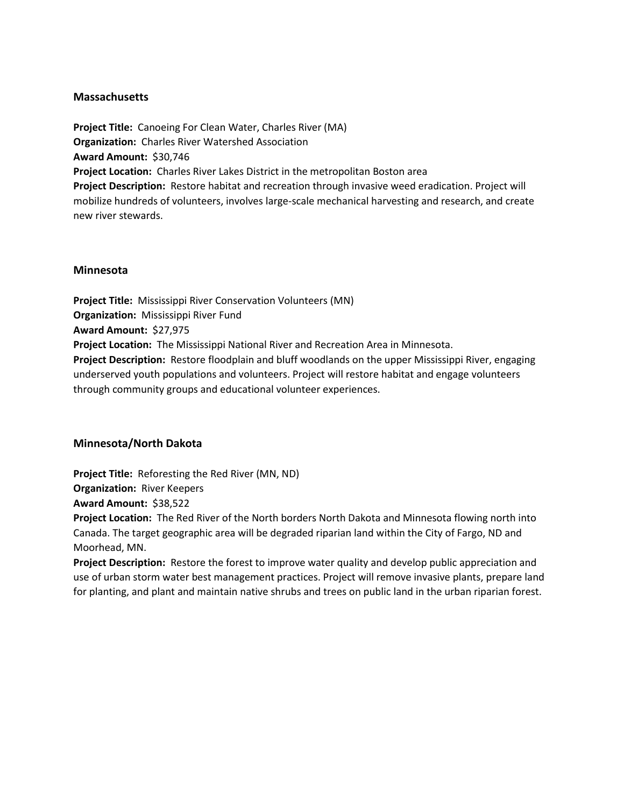### **Massachusetts**

**Project Title:** Canoeing For Clean Water, Charles River (MA) **Organization:** Charles River Watershed Association **Award Amount:** \$30,746 **Project Location:** Charles River Lakes District in the metropolitan Boston area **Project Description:** Restore habitat and recreation through invasive weed eradication. Project will mobilize hundreds of volunteers, involves large-scale mechanical harvesting and research, and create new river stewards.

### **Minnesota**

**Project Title:** Mississippi River Conservation Volunteers (MN) **Organization:** Mississippi River Fund **Award Amount:** \$27,975 **Project Location:** The Mississippi National River and Recreation Area in Minnesota. **Project Description:** Restore floodplain and bluff woodlands on the upper Mississippi River, engaging underserved youth populations and volunteers. Project will restore habitat and engage volunteers through community groups and educational volunteer experiences.

### **Minnesota/North Dakota**

**Project Title:** Reforesting the Red River (MN, ND)

**Organization:** River Keepers

**Award Amount:** \$38,522

**Project Location:** The Red River of the North borders North Dakota and Minnesota flowing north into Canada. The target geographic area will be degraded riparian land within the City of Fargo, ND and Moorhead, MN.

**Project Description:** Restore the forest to improve water quality and develop public appreciation and use of urban storm water best management practices. Project will remove invasive plants, prepare land for planting, and plant and maintain native shrubs and trees on public land in the urban riparian forest.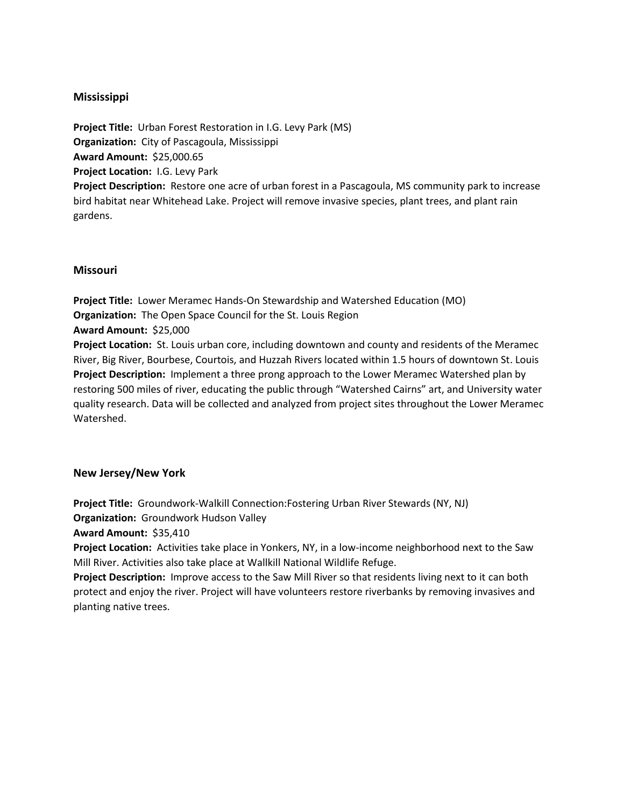# **Mississippi**

**Project Title:** Urban Forest Restoration in I.G. Levy Park (MS) **Organization:** City of Pascagoula, Mississippi **Award Amount:** \$25,000.65 **Project Location:** I.G. Levy Park **Project Description:** Restore one acre of urban forest in a Pascagoula, MS community park to increase bird habitat near Whitehead Lake. Project will remove invasive species, plant trees, and plant rain gardens.

### **Missouri**

Watershed.

**Project Title:** Lower Meramec Hands-On Stewardship and Watershed Education (MO) **Organization:** The Open Space Council for the St. Louis Region **Award Amount:** \$25,000 **Project Location:** St. Louis urban core, including downtown and county and residents of the Meramec River, Big River, Bourbese, Courtois, and Huzzah Rivers located within 1.5 hours of downtown St. Louis **Project Description:** Implement a three prong approach to the Lower Meramec Watershed plan by restoring 500 miles of river, educating the public through "Watershed Cairns" art, and University water quality research. Data will be collected and analyzed from project sites throughout the Lower Meramec

# **New Jersey/New York**

**Project Title:** Groundwork-Walkill Connection:Fostering Urban River Stewards (NY, NJ)

**Organization:** Groundwork Hudson Valley

**Award Amount:** \$35,410

**Project Location:** Activities take place in Yonkers, NY, in a low-income neighborhood next to the Saw Mill River. Activities also take place at Wallkill National Wildlife Refuge.

**Project Description:** Improve access to the Saw Mill River so that residents living next to it can both protect and enjoy the river. Project will have volunteers restore riverbanks by removing invasives and planting native trees.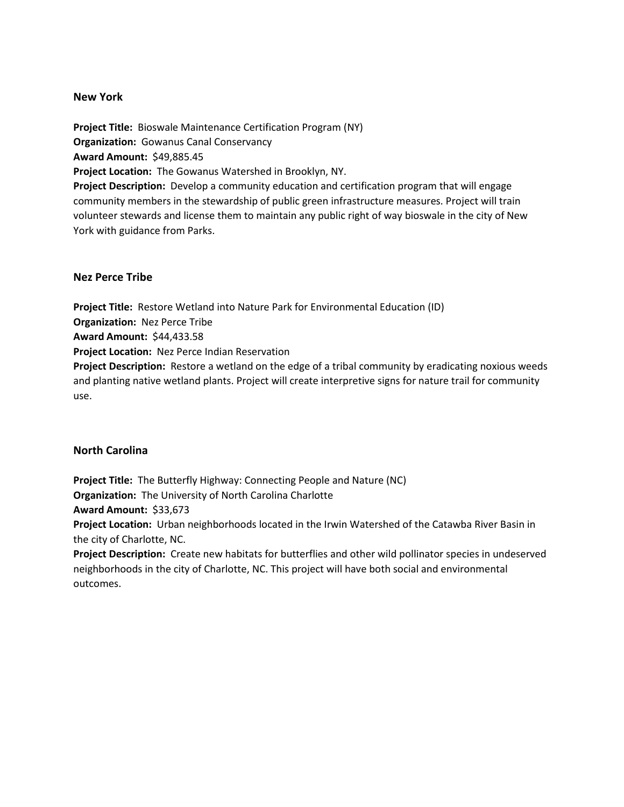### **New York**

**Project Title:** Bioswale Maintenance Certification Program (NY) **Organization:** Gowanus Canal Conservancy **Award Amount:** \$49,885.45 **Project Location:** The Gowanus Watershed in Brooklyn, NY. **Project Description:** Develop a community education and certification program that will engage community members in the stewardship of public green infrastructure measures. Project will train volunteer stewards and license them to maintain any public right of way bioswale in the city of New York with guidance from Parks.

### **Nez Perce Tribe**

**Project Title:** Restore Wetland into Nature Park for Environmental Education (ID) **Organization:** Nez Perce Tribe **Award Amount:** \$44,433.58 **Project Location:** Nez Perce Indian Reservation **Project Description:** Restore a wetland on the edge of a tribal community by eradicating noxious weeds and planting native wetland plants. Project will create interpretive signs for nature trail for community use.

### **North Carolina**

**Project Title:** The Butterfly Highway: Connecting People and Nature (NC) **Organization:** The University of North Carolina Charlotte **Award Amount:** \$33,673 **Project Location:** Urban neighborhoods located in the Irwin Watershed of the Catawba River Basin in the city of Charlotte, NC.

**Project Description:** Create new habitats for butterflies and other wild pollinator species in undeserved neighborhoods in the city of Charlotte, NC. This project will have both social and environmental outcomes.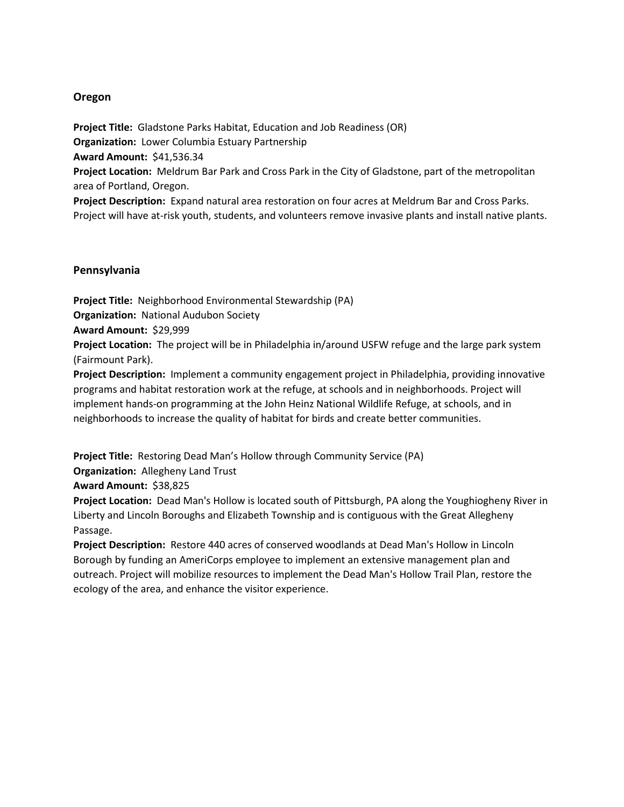## **Oregon**

**Project Title:** Gladstone Parks Habitat, Education and Job Readiness (OR) **Organization:** Lower Columbia Estuary Partnership **Award Amount:** \$41,536.34 **Project Location:** Meldrum Bar Park and Cross Park in the City of Gladstone, part of the metropolitan area of Portland, Oregon.

**Project Description:** Expand natural area restoration on four acres at Meldrum Bar and Cross Parks. Project will have at-risk youth, students, and volunteers remove invasive plants and install native plants.

### **Pennsylvania**

**Project Title:** Neighborhood Environmental Stewardship (PA) **Organization:** National Audubon Society

### **Award Amount:** \$29,999

**Project Location:** The project will be in Philadelphia in/around USFW refuge and the large park system (Fairmount Park).

**Project Description:** Implement a community engagement project in Philadelphia, providing innovative programs and habitat restoration work at the refuge, at schools and in neighborhoods. Project will implement hands-on programming at the John Heinz National Wildlife Refuge, at schools, and in neighborhoods to increase the quality of habitat for birds and create better communities.

**Project Title:** Restoring Dead Man's Hollow through Community Service (PA)

**Organization:** Allegheny Land Trust

**Award Amount:** \$38,825

**Project Location:** Dead Man's Hollow is located south of Pittsburgh, PA along the Youghiogheny River in Liberty and Lincoln Boroughs and Elizabeth Township and is contiguous with the Great Allegheny Passage.

**Project Description:** Restore 440 acres of conserved woodlands at Dead Man's Hollow in Lincoln Borough by funding an AmeriCorps employee to implement an extensive management plan and outreach. Project will mobilize resources to implement the Dead Man's Hollow Trail Plan, restore the ecology of the area, and enhance the visitor experience.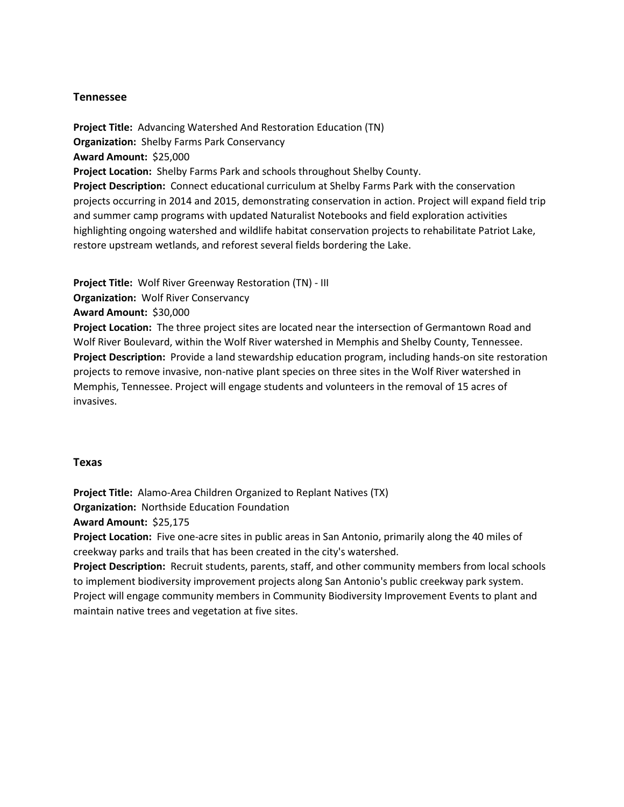### **Tennessee**

**Project Title:** Advancing Watershed And Restoration Education (TN) **Organization:** Shelby Farms Park Conservancy **Award Amount:** \$25,000 **Project Location:** Shelby Farms Park and schools throughout Shelby County. **Project Description:** Connect educational curriculum at Shelby Farms Park with the conservation projects occurring in 2014 and 2015, demonstrating conservation in action. Project will expand field trip and summer camp programs with updated Naturalist Notebooks and field exploration activities highlighting ongoing watershed and wildlife habitat conservation projects to rehabilitate Patriot Lake, restore upstream wetlands, and reforest several fields bordering the Lake.

**Project Title:** Wolf River Greenway Restoration (TN) - III

**Organization:** Wolf River Conservancy

**Award Amount:** \$30,000

**Project Location:** The three project sites are located near the intersection of Germantown Road and Wolf River Boulevard, within the Wolf River watershed in Memphis and Shelby County, Tennessee. **Project Description:** Provide a land stewardship education program, including hands-on site restoration projects to remove invasive, non-native plant species on three sites in the Wolf River watershed in Memphis, Tennessee. Project will engage students and volunteers in the removal of 15 acres of invasives.

### **Texas**

**Project Title:** Alamo-Area Children Organized to Replant Natives (TX) **Organization:** Northside Education Foundation **Award Amount:** \$25,175 **Project Location:** Five one-acre sites in public areas in San Antonio, primarily along the 40 miles of creekway parks and trails that has been created in the city's watershed.

**Project Description:** Recruit students, parents, staff, and other community members from local schools to implement biodiversity improvement projects along San Antonio's public creekway park system. Project will engage community members in Community Biodiversity Improvement Events to plant and maintain native trees and vegetation at five sites.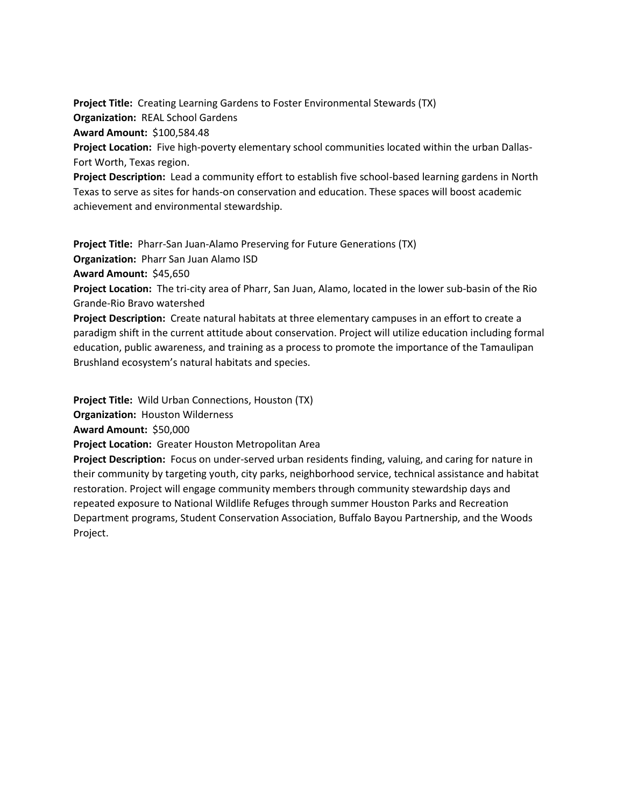**Project Title:** Creating Learning Gardens to Foster Environmental Stewards (TX) **Organization:** REAL School Gardens **Award Amount:** \$100,584.48 **Project Location:** Five high-poverty elementary school communities located within the urban Dallas-

Fort Worth, Texas region.

**Project Description:** Lead a community effort to establish five school-based learning gardens in North Texas to serve as sites for hands-on conservation and education. These spaces will boost academic achievement and environmental stewardship.

**Project Title:** Pharr-San Juan-Alamo Preserving for Future Generations (TX)

**Organization:** Pharr San Juan Alamo ISD

**Award Amount:** \$45,650

**Project Location:** The tri-city area of Pharr, San Juan, Alamo, located in the lower sub-basin of the Rio Grande-Rio Bravo watershed

**Project Description:** Create natural habitats at three elementary campuses in an effort to create a paradigm shift in the current attitude about conservation. Project will utilize education including formal education, public awareness, and training as a process to promote the importance of the Tamaulipan Brushland ecosystem's natural habitats and species.

**Project Title:** Wild Urban Connections, Houston (TX)

**Organization:** Houston Wilderness

**Award Amount:** \$50,000

**Project Location:** Greater Houston Metropolitan Area

**Project Description:** Focus on under-served urban residents finding, valuing, and caring for nature in their community by targeting youth, city parks, neighborhood service, technical assistance and habitat restoration. Project will engage community members through community stewardship days and repeated exposure to National Wildlife Refuges through summer Houston Parks and Recreation Department programs, Student Conservation Association, Buffalo Bayou Partnership, and the Woods Project.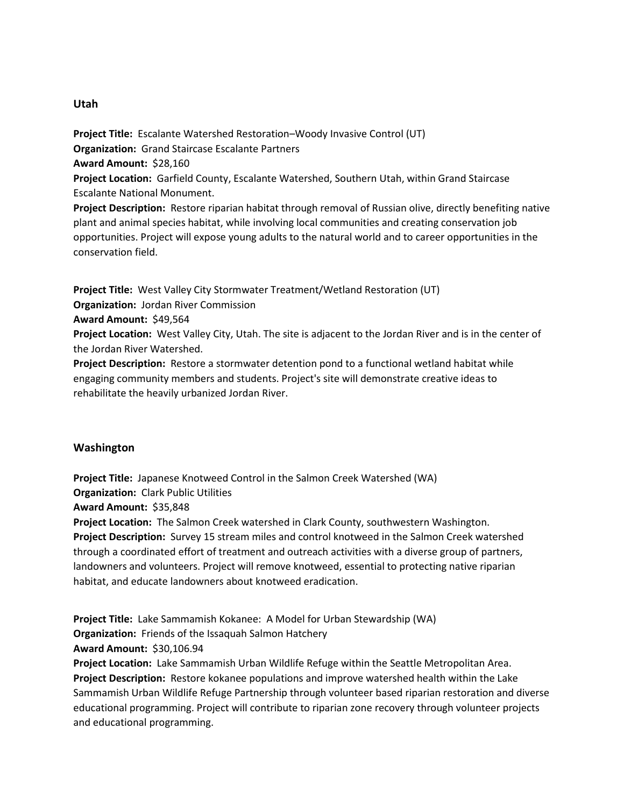## **Utah**

**Project Title:** Escalante Watershed Restoration–Woody Invasive Control (UT) **Organization:** Grand Staircase Escalante Partners **Award Amount:** \$28,160 **Project Location:** Garfield County, Escalante Watershed, Southern Utah, within Grand Staircase Escalante National Monument.

**Project Description:** Restore riparian habitat through removal of Russian olive, directly benefiting native plant and animal species habitat, while involving local communities and creating conservation job opportunities. Project will expose young adults to the natural world and to career opportunities in the conservation field.

**Project Title:** West Valley City Stormwater Treatment/Wetland Restoration (UT)

**Organization:** Jordan River Commission

**Award Amount:** \$49,564

**Project Location:** West Valley City, Utah. The site is adjacent to the Jordan River and is in the center of the Jordan River Watershed.

**Project Description:** Restore a stormwater detention pond to a functional wetland habitat while engaging community members and students. Project's site will demonstrate creative ideas to rehabilitate the heavily urbanized Jordan River.

# **Washington**

**Project Title:** Japanese Knotweed Control in the Salmon Creek Watershed (WA) **Organization:** Clark Public Utilities **Award Amount:** \$35,848 **Project Location:** The Salmon Creek watershed in Clark County, southwestern Washington. **Project Description:** Survey 15 stream miles and control knotweed in the Salmon Creek watershed through a coordinated effort of treatment and outreach activities with a diverse group of partners, landowners and volunteers. Project will remove knotweed, essential to protecting native riparian habitat, and educate landowners about knotweed eradication.

**Project Title:** Lake Sammamish Kokanee: A Model for Urban Stewardship (WA) **Organization:** Friends of the Issaquah Salmon Hatchery **Award Amount:** \$30,106.94

**Project Location:** Lake Sammamish Urban Wildlife Refuge within the Seattle Metropolitan Area. **Project Description:** Restore kokanee populations and improve watershed health within the Lake Sammamish Urban Wildlife Refuge Partnership through volunteer based riparian restoration and diverse educational programming. Project will contribute to riparian zone recovery through volunteer projects and educational programming.